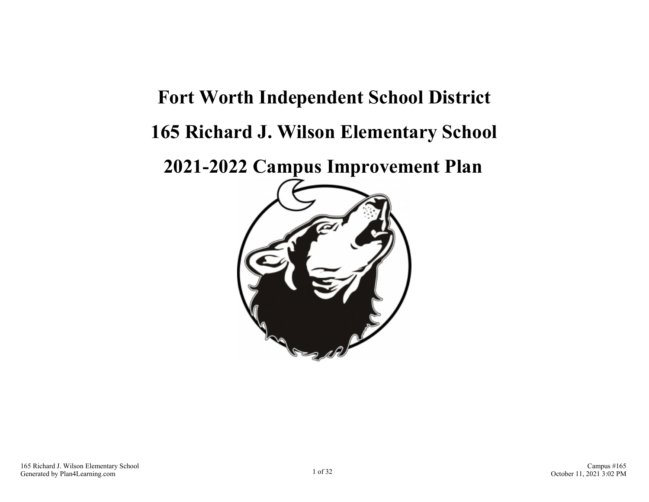# **Fort Worth Independent School District 165 Richard J. Wilson Elementary School**

**2021-2022 Campus Improvement Plan**

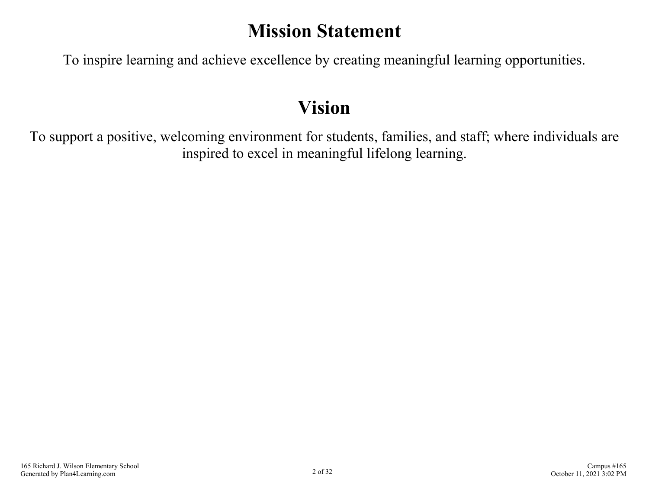### **Mission Statement**

To inspire learning and achieve excellence by creating meaningful learning opportunities.

### **Vision**

To support a positive, welcoming environment for students, families, and staff; where individuals are inspired to excel in meaningful lifelong learning.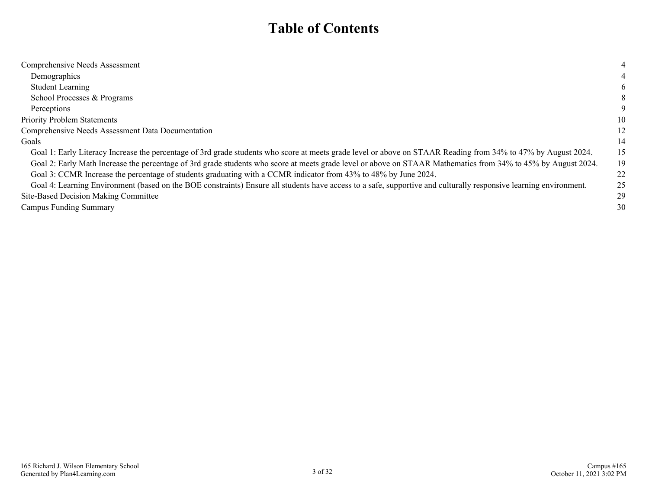### **Table of Contents**

| Comprehensive Needs Assessment                                                                                                                                    | 4  |
|-------------------------------------------------------------------------------------------------------------------------------------------------------------------|----|
| Demographics                                                                                                                                                      |    |
| <b>Student Learning</b>                                                                                                                                           | 6  |
| School Processes & Programs                                                                                                                                       | 8  |
| Perceptions                                                                                                                                                       | 9  |
| <b>Priority Problem Statements</b>                                                                                                                                | 10 |
| Comprehensive Needs Assessment Data Documentation                                                                                                                 | 12 |
| Goals                                                                                                                                                             | 14 |
| Goal 1: Early Literacy Increase the percentage of 3rd grade students who score at meets grade level or above on STAAR Reading from 34% to 47% by August 2024.     | 15 |
| Goal 2: Early Math Increase the percentage of 3rd grade students who score at meets grade level or above on STAAR Mathematics from 34% to 45% by August 2024.     | 19 |
| Goal 3: CCMR Increase the percentage of students graduating with a CCMR indicator from 43% to 48% by June 2024.                                                   | 22 |
| Goal 4: Learning Environment (based on the BOE constraints) Ensure all students have access to a safe, supportive and culturally responsive learning environment. | 25 |
| Site-Based Decision Making Committee                                                                                                                              | 29 |
| <b>Campus Funding Summary</b>                                                                                                                                     | 30 |
|                                                                                                                                                                   |    |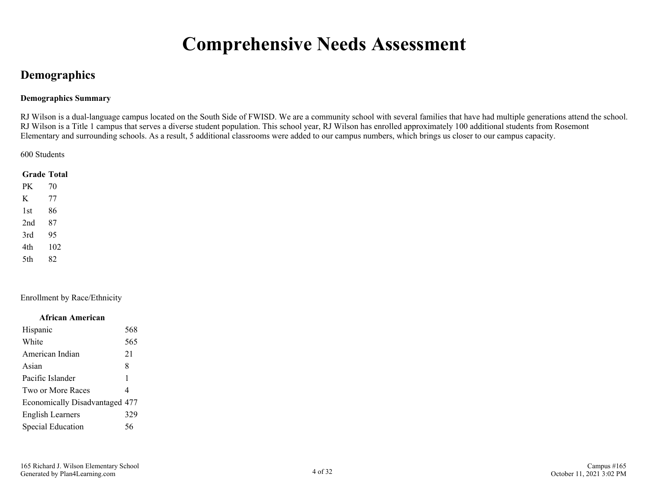### **Comprehensive Needs Assessment**

### <span id="page-3-0"></span>**Demographics**

### **Demographics Summary**

RJ Wilson is a dual-language campus located on the South Side of FWISD. We are a community school with several families that have had multiple generations attend the school. RJ Wilson is a Title 1 campus that serves a diverse student population. This school year, RJ Wilson has enrolled approximately 100 additional students from Rosemont Elementary and surrounding schools. As a result, 5 additional classrooms were added to our campus numbers, which brings us closer to our campus capacity.

600 Students

|      | <b>Grade Total</b> |
|------|--------------------|
| PK   | 70                 |
| K    | 77                 |
| 1st  | 86                 |
| 2nd  | 87                 |
| 3rd  | 95                 |
| 4th  | 102                |
| .5th | 82                 |

Enrollment by Race/Ethnicity

#### **African American**

| Hispanic                       | 568 |
|--------------------------------|-----|
| White                          | 565 |
| American Indian                | 21  |
| Asian                          | 8   |
| Pacific Islander               | 1   |
| Two or More Races              | 4   |
| Economically Disadvantaged 477 |     |
| <b>English Learners</b>        | 329 |
| <b>Special Education</b>       | 56  |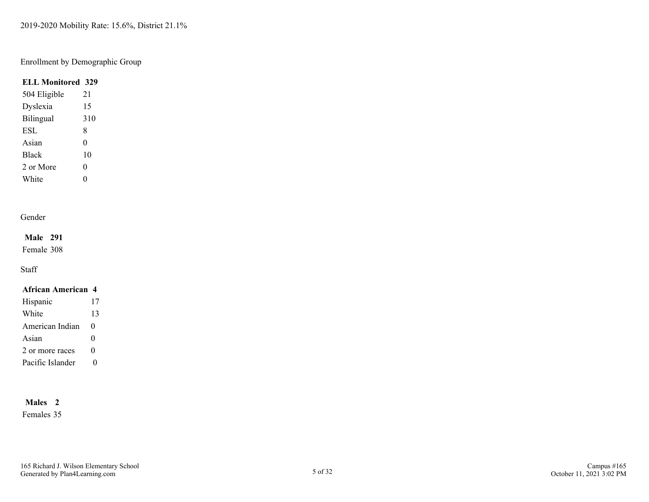2019-2020 Mobility Rate: 15.6%, District 21.1%

### Enrollment by Demographic Group

### **ELL Monitored 329**

| 504 Eligible | 21  |
|--------------|-----|
| Dyslexia     | 15  |
| Bilingual    | 310 |
| <b>ESL</b>   | 8   |
| Asian        | 0   |
| <b>Black</b> | 10  |
| 2 or More    | 0   |
| White        | 0   |

### Gender

### **Male 291**

Female 308

### Staff

### **African American 4**

| Hispanic         | 17       |
|------------------|----------|
| White            | 13       |
| American Indian  | $\Omega$ |
| Asian            | 0        |
| 2 or more races  | $\Omega$ |
| Pacific Islander |          |

### **Males 2**

Females 35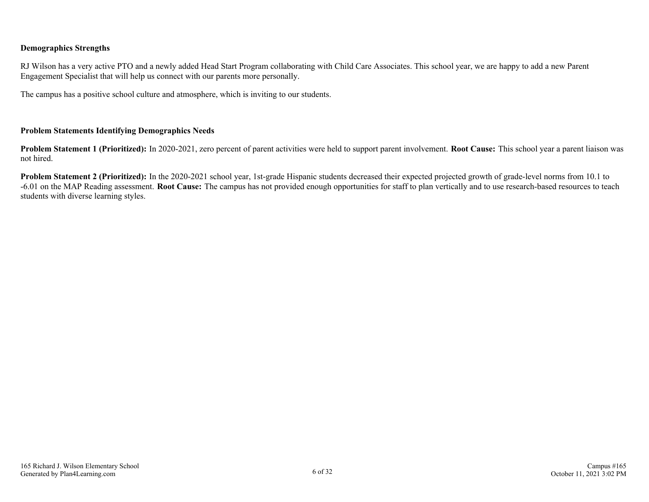### **Demographics Strengths**

RJ Wilson has a very active PTO and a newly added Head Start Program collaborating with Child Care Associates. This school year, we are happy to add a new Parent Engagement Specialist that will help us connect with our parents more personally.

The campus has a positive school culture and atmosphere, which is inviting to our students.

### **Problem Statements Identifying Demographics Needs**

**Problem Statement 1 (Prioritized):** In 2020-2021, zero percent of parent activities were held to support parent involvement. **Root Cause:** This school year a parent liaison was not hired.

**Problem Statement 2 (Prioritized):** In the 2020-2021 school year, 1st-grade Hispanic students decreased their expected projected growth of grade-level norms from 10.1 to -6.01 on the MAP Reading assessment. **Root Cause:** The campus has not provided enough opportunities for staff to plan vertically and to use research-based resources to teach students with diverse learning styles.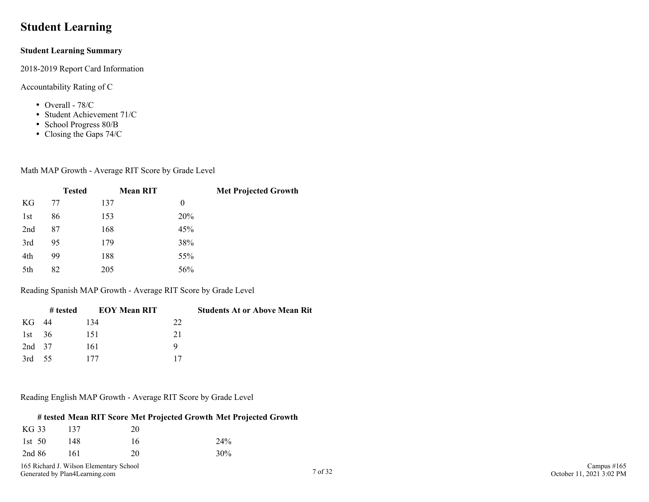### <span id="page-6-0"></span>**Student Learning**

### **Student Learning Summary**

2018-2019 Report Card Information

### Accountability Rating of C

- Overall 78/C
- Student Achievement 71/C
- School Progress 80/B
- Closing the Gaps 74/C

### Math MAP Growth - Average RIT Score by Grade Level

|     | <b>Tested</b> | <b>Mean RIT</b> |     | <b>Met Projected Growth</b> |
|-----|---------------|-----------------|-----|-----------------------------|
| KG  | 77            | 137             | 0   |                             |
| 1st | 86            | 153             | 20% |                             |
| 2nd | 87            | 168             | 45% |                             |
| 3rd | 95            | 179             | 38% |                             |
| 4th | 99            | 188             | 55% |                             |
| 5th | 82            | 205             | 56% |                             |

Reading Spanish MAP Growth - Average RIT Score by Grade Level

|          | # tested | <b>EOY Mean RIT</b> | <b>Students At or Above Mean Rit</b> |
|----------|----------|---------------------|--------------------------------------|
| KG 44    |          | 134                 | 22                                   |
| 1st $36$ |          | 151                 | 21                                   |
| 2nd 37   |          | 161                 | Q                                    |
| 3rd $55$ |          | 177                 | 17                                   |

#### Reading English MAP Growth - Average RIT Score by Grade Level

### **# tested Mean RIT Score Met Projected Growth Met Projected Growth**

| KG 33    | 137 | 20 |        |
|----------|-----|----|--------|
| 1st $50$ | 148 | 16 | 24%    |
| 2nd 86   | 161 | 20 | $30\%$ |

165 Richard J. Wilson Elementary School Generated by Plan4Learning.com 7 of 32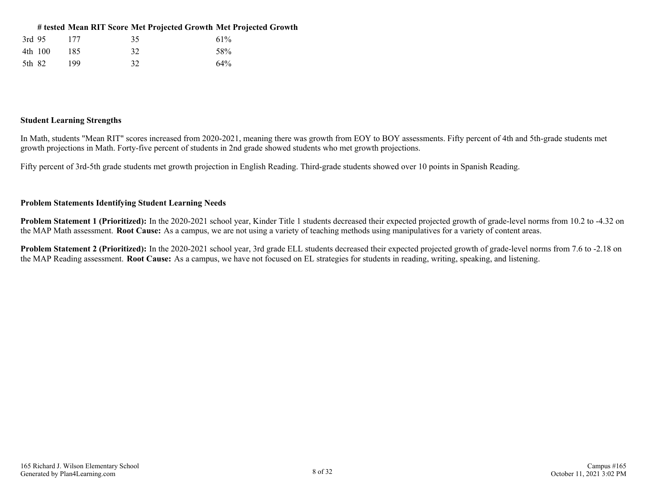| # tested Mean RIT Score Met Projected Growth Met Projected Growth |
|-------------------------------------------------------------------|
|-------------------------------------------------------------------|

| 3rd 95  | 177 | 35 | 61% |
|---------|-----|----|-----|
| 4th 100 | 185 | 32 | 58% |
| 5th 82  | 199 | 32 | 64% |

#### **Student Learning Strengths**

In Math, students "Mean RIT" scores increased from 2020-2021, meaning there was growth from EOY to BOY assessments. Fifty percent of 4th and 5th-grade students met growth projections in Math. Forty-five percent of students in 2nd grade showed students who met growth projections.

Fifty percent of 3rd-5th grade students met growth projection in English Reading. Third-grade students showed over 10 points in Spanish Reading.

### **Problem Statements Identifying Student Learning Needs**

**Problem Statement 1 (Prioritized):** In the 2020-2021 school year, Kinder Title 1 students decreased their expected projected growth of grade-level norms from 10.2 to -4.32 on the MAP Math assessment. **Root Cause:** As a campus, we are not using a variety of teaching methods using manipulatives for a variety of content areas.

**Problem Statement 2 (Prioritized):** In the 2020-2021 school year, 3rd grade ELL students decreased their expected projected growth of grade-level norms from 7.6 to -2.18 on the MAP Reading assessment. **Root Cause:** As a campus, we have not focused on EL strategies for students in reading, writing, speaking, and listening.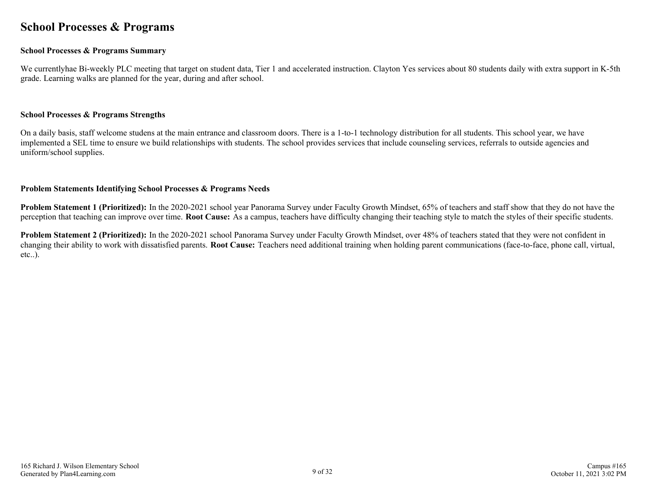### <span id="page-8-0"></span>**School Processes & Programs**

### **School Processes & Programs Summary**

We currentlyhae Bi-weekly PLC meeting that target on student data, Tier 1 and accelerated instruction. Clayton Yes services about 80 students daily with extra support in K-5th grade. Learning walks are planned for the year, during and after school.

#### **School Processes & Programs Strengths**

On a daily basis, staff welcome studens at the main entrance and classroom doors. There is a 1-to-1 technology distribution for all students. This school year, we have implemented a SEL time to ensure we build relationships with students. The school provides services that include counseling services, referrals to outside agencies and uniform/school supplies.

#### **Problem Statements Identifying School Processes & Programs Needs**

**Problem Statement 1 (Prioritized):** In the 2020-2021 school year Panorama Survey under Faculty Growth Mindset, 65% of teachers and staff show that they do not have the perception that teaching can improve over time. **Root Cause:** As a campus, teachers have difficulty changing their teaching style to match the styles of their specific students.

**Problem Statement 2 (Prioritized):** In the 2020-2021 school Panorama Survey under Faculty Growth Mindset, over 48% of teachers stated that they were not confident in changing their ability to work with dissatisfied parents. **Root Cause:** Teachers need additional training when holding parent communications (face-to-face, phone call, virtual, etc..).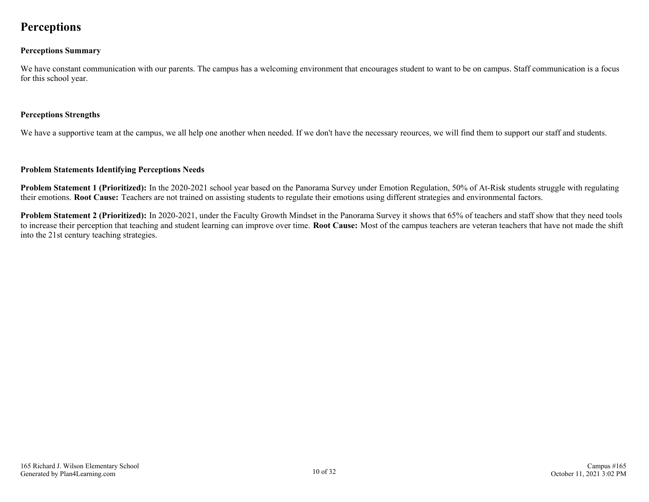### <span id="page-9-0"></span>**Perceptions**

### **Perceptions Summary**

We have constant communication with our parents. The campus has a welcoming environment that encourages student to want to be on campus. Staff communication is a focus for this school year.

### **Perceptions Strengths**

We have a supportive team at the campus, we all help one another when needed. If we don't have the necessary reources, we will find them to support our staff and students.

### **Problem Statements Identifying Perceptions Needs**

**Problem Statement 1 (Prioritized):** In the 2020-2021 school year based on the Panorama Survey under Emotion Regulation, 50% of At-Risk students struggle with regulating their emotions. **Root Cause:** Teachers are not trained on assisting students to regulate their emotions using different strategies and environmental factors.

**Problem Statement 2 (Prioritized):** In 2020-2021, under the Faculty Growth Mindset in the Panorama Survey it shows that 65% of teachers and staff show that they need tools to increase their perception that teaching and student learning can improve over time. **Root Cause:** Most of the campus teachers are veteran teachers that have not made the shift into the 21st century teaching strategies.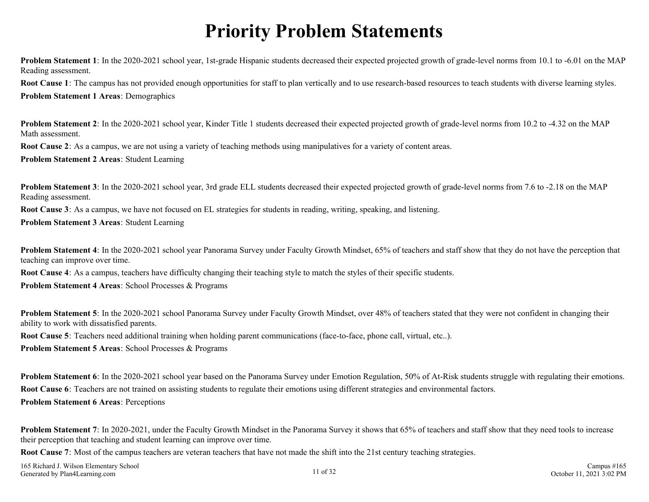### **Priority Problem Statements**

<span id="page-10-0"></span>**Problem Statement 1**: In the 2020-2021 school year, 1st-grade Hispanic students decreased their expected projected growth of grade-level norms from 10.1 to -6.01 on the MAP Reading assessment.

**Root Cause 1**: The campus has not provided enough opportunities for staff to plan vertically and to use research-based resources to teach students with diverse learning styles. **Problem Statement 1 Areas**: Demographics

**Problem Statement 2**: In the 2020-2021 school year, Kinder Title 1 students decreased their expected projected growth of grade-level norms from 10.2 to -4.32 on the MAP Math assessment.

**Root Cause 2**: As a campus, we are not using a variety of teaching methods using manipulatives for a variety of content areas.

**Problem Statement 2 Areas**: Student Learning

**Problem Statement 3**: In the 2020-2021 school year, 3rd grade ELL students decreased their expected projected growth of grade-level norms from 7.6 to -2.18 on the MAP Reading assessment.

**Root Cause 3**: As a campus, we have not focused on EL strategies for students in reading, writing, speaking, and listening.

**Problem Statement 3 Areas**: Student Learning

**Problem Statement 4**: In the 2020-2021 school year Panorama Survey under Faculty Growth Mindset, 65% of teachers and staff show that they do not have the perception that teaching can improve over time.

**Root Cause 4**: As a campus, teachers have difficulty changing their teaching style to match the styles of their specific students.

**Problem Statement 4 Areas**: School Processes & Programs

**Problem Statement 5**: In the 2020-2021 school Panorama Survey under Faculty Growth Mindset, over 48% of teachers stated that they were not confident in changing their ability to work with dissatisfied parents.

**Root Cause 5**: Teachers need additional training when holding parent communications (face-to-face, phone call, virtual, etc..).

**Problem Statement 5 Areas**: School Processes & Programs

**Problem Statement 6**: In the 2020-2021 school year based on the Panorama Survey under Emotion Regulation, 50% of At-Risk students struggle with regulating their emotions. **Root Cause 6**: Teachers are not trained on assisting students to regulate their emotions using different strategies and environmental factors. **Problem Statement 6 Areas**: Perceptions

**Problem Statement 7**: In 2020-2021, under the Faculty Growth Mindset in the Panorama Survey it shows that 65% of teachers and staff show that they need tools to increase their perception that teaching and student learning can improve over time.

**Root Cause 7**: Most of the campus teachers are veteran teachers that have not made the shift into the 21st century teaching strategies.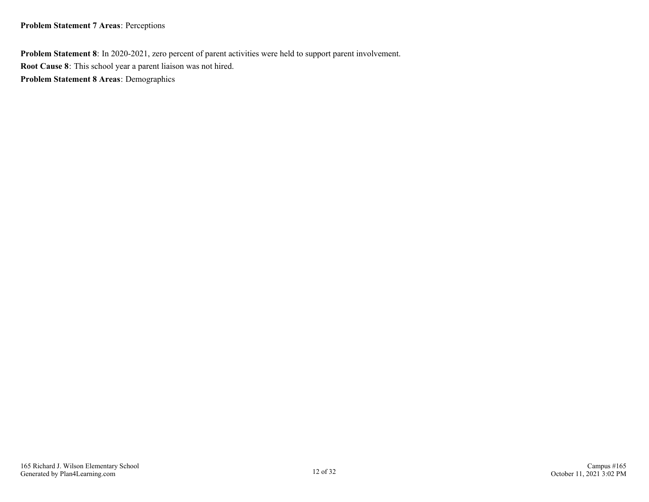### **Problem Statement 7 Areas**: Perceptions

**Problem Statement 8**: In 2020-2021, zero percent of parent activities were held to support parent involvement. **Root Cause 8**: This school year a parent liaison was not hired. **Problem Statement 8 Areas**: Demographics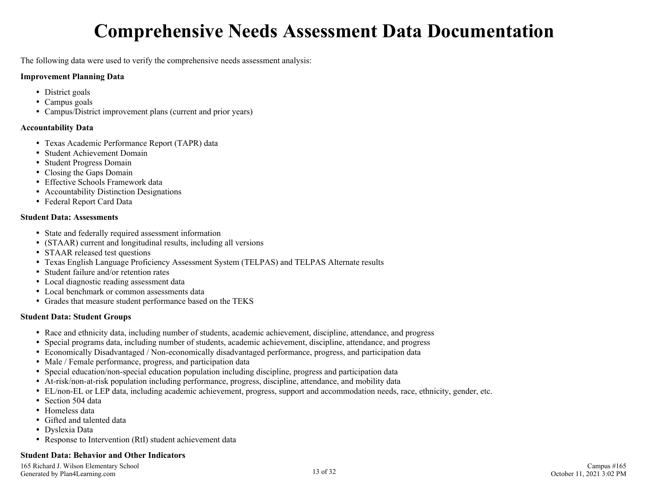### **Comprehensive Needs Assessment Data Documentation**

<span id="page-12-0"></span>The following data were used to verify the comprehensive needs assessment analysis:

### **Improvement Planning Data**

- District goals
- Campus goals
- Campus/District improvement plans (current and prior years)

### **Accountability Data**

- Texas Academic Performance Report (TAPR) data
- Student Achievement Domain
- Student Progress Domain
- Closing the Gaps Domain
- Effective Schools Framework data
- Accountability Distinction Designations
- Federal Report Card Data

### **Student Data: Assessments**

- State and federally required assessment information
- (STAAR) current and longitudinal results, including all versions
- STAAR released test questions
- Texas English Language Proficiency Assessment System (TELPAS) and TELPAS Alternate results
- Student failure and/or retention rates
- Local diagnostic reading assessment data
- Local benchmark or common assessments data
- Grades that measure student performance based on the TEKS

### **Student Data: Student Groups**

- Race and ethnicity data, including number of students, academic achievement, discipline, attendance, and progress
- Special programs data, including number of students, academic achievement, discipline, attendance, and progress
- Economically Disadvantaged / Non-economically disadvantaged performance, progress, and participation data
- Male / Female performance, progress, and participation data
- Special education/non-special education population including discipline, progress and participation data
- At-risk/non-at-risk population including performance, progress, discipline, attendance, and mobility data
- EL/non-EL or LEP data, including academic achievement, progress, support and accommodation needs, race, ethnicity, gender, etc.
- Section 504 data
- Homeless data
- Gifted and talented data
- Dyslexia Data
- Response to Intervention (RtI) student achievement data

### **Student Data: Behavior and Other Indicators**

165 Richard J. Wilson Elementary School Generated by Plan4Learning.com 13 of 32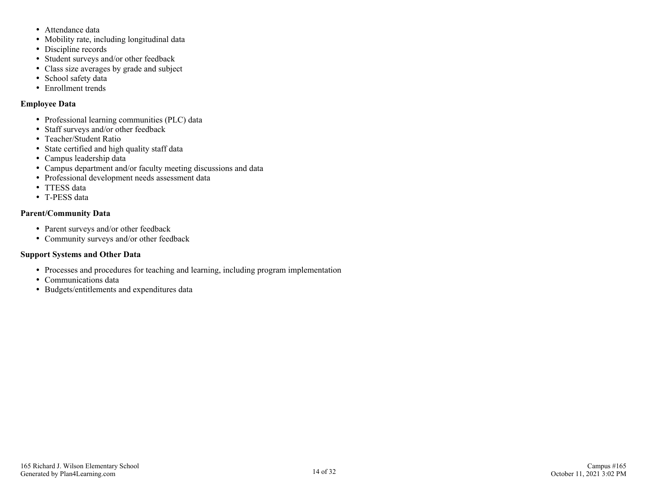- Attendance data
- Mobility rate, including longitudinal data
- Discipline records
- Student surveys and/or other feedback
- Class size averages by grade and subject
- School safety data
- Enrollment trends

### **Employee Data**

- Professional learning communities (PLC) data
- Staff surveys and/or other feedback
- Teacher/Student Ratio
- State certified and high quality staff data
- Campus leadership data
- Campus department and/or faculty meeting discussions and data
- Professional development needs assessment data
- TTESS data
- T-PESS data

### **Parent/Community Data**

- Parent surveys and/or other feedback
- Community surveys and/or other feedback

### **Support Systems and Other Data**

- Processes and procedures for teaching and learning, including program implementation
- Communications data
- Budgets/entitlements and expenditures data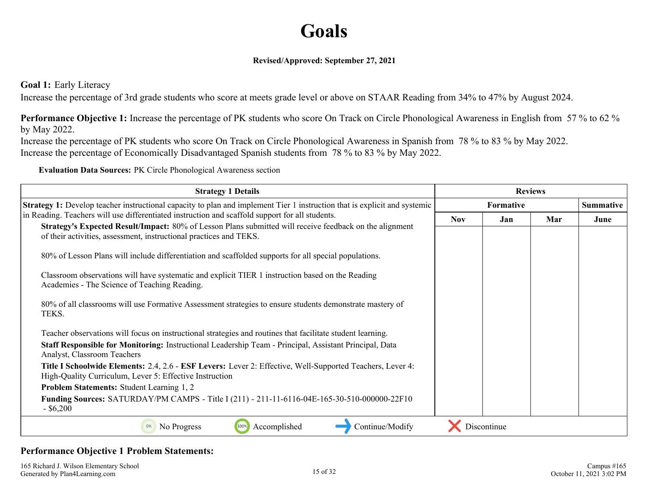### **Goals**

### **Revised/Approved: September 27, 2021**

<span id="page-14-0"></span>**Goal 1:** Early Literacy

Increase the percentage of 3rd grade students who score at meets grade level or above on STAAR Reading from 34% to 47% by August 2024.

**Performance Objective 1:** Increase the percentage of PK students who score On Track on Circle Phonological Awareness in English from 57 % to 62 % by May 2022.

Increase the percentage of PK students who score On Track on Circle Phonological Awareness in Spanish from 78 % to 83 % by May 2022. Increase the percentage of Economically Disadvantaged Spanish students from 78 % to 83 % by May 2022.

**Evaluation Data Sources:** PK Circle Phonological Awareness section

| <b>Strategy 1 Details</b>                                                                                                                                                                                                                                                        |            | <b>Reviews</b> |     |                  |
|----------------------------------------------------------------------------------------------------------------------------------------------------------------------------------------------------------------------------------------------------------------------------------|------------|----------------|-----|------------------|
| <b>Strategy 1:</b> Develop teacher instructional capacity to plan and implement Tier 1 instruction that is explicit and systemic                                                                                                                                                 | Formative  |                |     | <b>Summative</b> |
| in Reading. Teachers will use differentiated instruction and scaffold support for all students.<br>Strategy's Expected Result/Impact: 80% of Lesson Plans submitted will receive feedback on the alignment<br>of their activities, assessment, instructional practices and TEKS. | <b>Nov</b> | Jan            | Mar | June             |
| 80% of Lesson Plans will include differentiation and scaffolded supports for all special populations.<br>Classroom observations will have systematic and explicit TIER 1 instruction based on the Reading<br>Academies - The Science of Teaching Reading.                        |            |                |     |                  |
| 80% of all classrooms will use Formative Assessment strategies to ensure students demonstrate mastery of<br>TEKS.                                                                                                                                                                |            |                |     |                  |
| Teacher observations will focus on instructional strategies and routines that facilitate student learning.<br>Staff Responsible for Monitoring: Instructional Leadership Team - Principal, Assistant Principal, Data<br>Analyst, Classroom Teachers                              |            |                |     |                  |
| <b>Title I Schoolwide Elements: 2.4, 2.6 - ESF Levers:</b> Lever 2: Effective, Well-Supported Teachers, Lever 4:<br>High-Quality Curriculum, Lever 5: Effective Instruction                                                                                                      |            |                |     |                  |
| <b>Problem Statements: Student Learning 1, 2</b>                                                                                                                                                                                                                                 |            |                |     |                  |
| <b>Funding Sources: SATURDAY/PM CAMPS - Title I (211) - 211-11-6116-04E-165-30-510-000000-22F10</b><br>$-$ \$6,200                                                                                                                                                               |            |                |     |                  |
| Accomplished<br>Continue/Modify<br>No Progress<br>0%                                                                                                                                                                                                                             |            | Discontinue    |     |                  |

### **Performance Objective 1 Problem Statements:**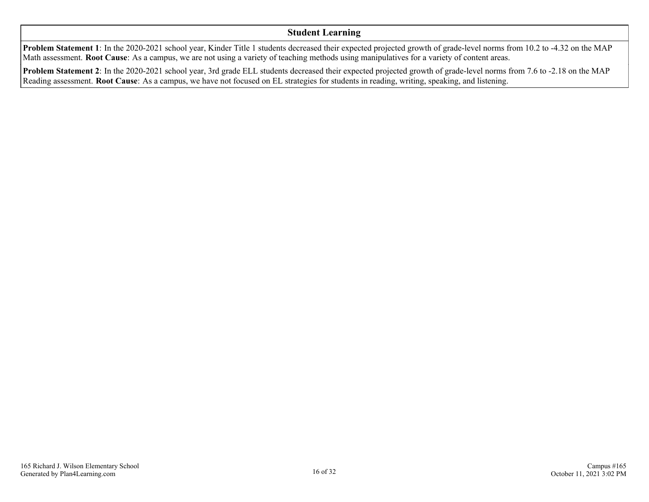### **Student Learning**

**Problem Statement 1**: In the 2020-2021 school year, Kinder Title 1 students decreased their expected projected growth of grade-level norms from 10.2 to -4.32 on the MAP Math assessment. **Root Cause**: As a campus, we are not using a variety of teaching methods using manipulatives for a variety of content areas.

**Problem Statement 2**: In the 2020-2021 school year, 3rd grade ELL students decreased their expected projected growth of grade-level norms from 7.6 to -2.18 on the MAP Reading assessment. **Root Cause**: As a campus, we have not focused on EL strategies for students in reading, writing, speaking, and listening.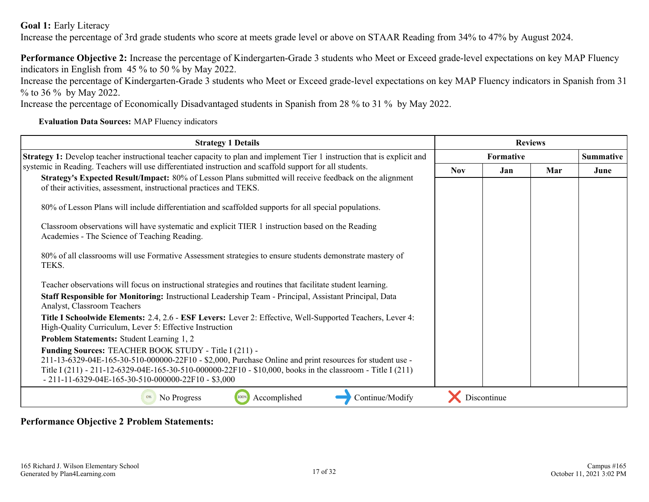**Goal 1:** Early Literacy

Increase the percentage of 3rd grade students who score at meets grade level or above on STAAR Reading from 34% to 47% by August 2024.

**Performance Objective 2:** Increase the percentage of Kindergarten-Grade 3 students who Meet or Exceed grade-level expectations on key MAP Fluency indicators in English from 45 % to 50 % by May 2022.

Increase the percentage of Kindergarten-Grade 3 students who Meet or Exceed grade-level expectations on key MAP Fluency indicators in Spanish from 31 % to 36 % by May 2022.

Increase the percentage of Economically Disadvantaged students in Spanish from 28 % to 31 % by May 2022.

**Evaluation Data Sources:** MAP Fluency indicators

| <b>Strategy 1 Details</b>                                                                                                                                                                                              |            | <b>Reviews</b>   |     |      |
|------------------------------------------------------------------------------------------------------------------------------------------------------------------------------------------------------------------------|------------|------------------|-----|------|
| <b>Strategy 1:</b> Develop teacher instructional teacher capacity to plan and implement Tier 1 instruction that is explicit and                                                                                        |            | <b>Formative</b> |     |      |
| systemic in Reading. Teachers will use differentiated instruction and scaffold support for all students.                                                                                                               | <b>Nov</b> | Jan.             | Mar | June |
| Strategy's Expected Result/Impact: 80% of Lesson Plans submitted will receive feedback on the alignment<br>of their activities, assessment, instructional practices and TEKS.                                          |            |                  |     |      |
| 80% of Lesson Plans will include differentiation and scaffolded supports for all special populations.                                                                                                                  |            |                  |     |      |
| Classroom observations will have systematic and explicit TIER 1 instruction based on the Reading<br>Academies - The Science of Teaching Reading.                                                                       |            |                  |     |      |
| 80% of all classrooms will use Formative Assessment strategies to ensure students demonstrate mastery of<br>TEKS.                                                                                                      |            |                  |     |      |
| Teacher observations will focus on instructional strategies and routines that facilitate student learning.                                                                                                             |            |                  |     |      |
| Staff Responsible for Monitoring: Instructional Leadership Team - Principal, Assistant Principal, Data<br>Analyst, Classroom Teachers                                                                                  |            |                  |     |      |
| Title I Schoolwide Elements: 2.4, 2.6 - ESF Levers: Lever 2: Effective, Well-Supported Teachers, Lever 4:<br>High-Quality Curriculum, Lever 5: Effective Instruction                                                   |            |                  |     |      |
| Problem Statements: Student Learning 1, 2                                                                                                                                                                              |            |                  |     |      |
| <b>Funding Sources: TEACHER BOOK STUDY - Title I (211) -</b>                                                                                                                                                           |            |                  |     |      |
| 211-13-6329-04E-165-30-510-000000-22F10 - \$2,000, Purchase Online and print resources for student use -<br>Title I (211) - 211-12-6329-04E-165-30-510-000000-22F10 - \$10,000, books in the classroom - Title I (211) |            |                  |     |      |
| $-211-11-6329-04E-165-30-510-000000-22F10-\$3,000$                                                                                                                                                                     |            |                  |     |      |
| Accomplished<br>Continue/Modify<br>No Progress<br>0%                                                                                                                                                                   |            | Discontinue      |     |      |

### **Performance Objective 2 Problem Statements:**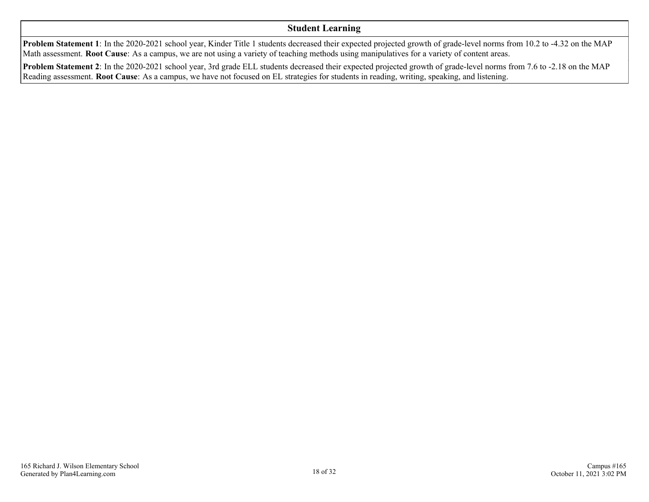### **Student Learning**

**Problem Statement 1**: In the 2020-2021 school year, Kinder Title 1 students decreased their expected projected growth of grade-level norms from 10.2 to -4.32 on the MAP Math assessment. **Root Cause**: As a campus, we are not using a variety of teaching methods using manipulatives for a variety of content areas.

**Problem Statement 2**: In the 2020-2021 school year, 3rd grade ELL students decreased their expected projected growth of grade-level norms from 7.6 to -2.18 on the MAP Reading assessment. **Root Cause**: As a campus, we have not focused on EL strategies for students in reading, writing, speaking, and listening.

Campus #165

October 11, 2021 3:02 PM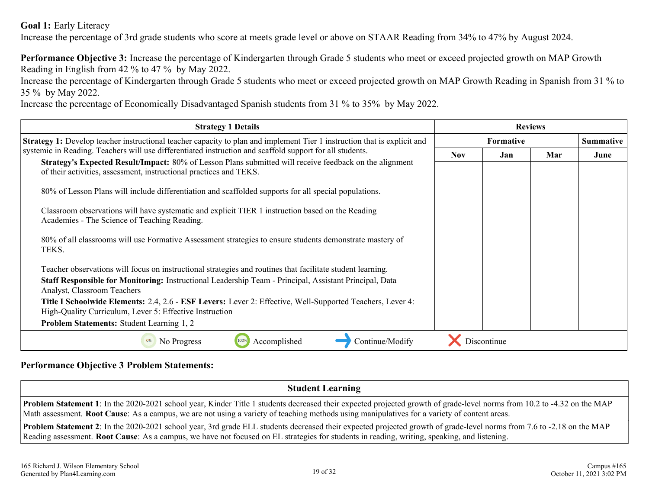**Goal 1:** Early Literacy

Increase the percentage of 3rd grade students who score at meets grade level or above on STAAR Reading from 34% to 47% by August 2024.

**Performance Objective 3:** Increase the percentage of Kindergarten through Grade 5 students who meet or exceed projected growth on MAP Growth Reading in English from 42 % to 47 % by May 2022.

Increase the percentage of Kindergarten through Grade 5 students who meet or exceed projected growth on MAP Growth Reading in Spanish from 31 % to 35 % by May 2022.

Increase the percentage of Economically Disadvantaged Spanish students from 31 % to 35% by May 2022.

| <b>Strategy 1 Details</b>                                                                                                                                                     | <b>Reviews</b>   |             |     |                  |  |  |
|-------------------------------------------------------------------------------------------------------------------------------------------------------------------------------|------------------|-------------|-----|------------------|--|--|
| <b>Strategy 1:</b> Develop teacher instructional teacher capacity to plan and implement Tier 1 instruction that is explicit and                                               | <b>Formative</b> |             |     | <b>Summative</b> |  |  |
| systemic in Reading. Teachers will use differentiated instruction and scaffold support for all students.<br><b>Nov</b>                                                        |                  | Jan         | Mar | June             |  |  |
| Strategy's Expected Result/Impact: 80% of Lesson Plans submitted will receive feedback on the alignment<br>of their activities, assessment, instructional practices and TEKS. |                  |             |     |                  |  |  |
| 80% of Lesson Plans will include differentiation and scaffolded supports for all special populations.                                                                         |                  |             |     |                  |  |  |
| Classroom observations will have systematic and explicit TIER 1 instruction based on the Reading<br>Academies - The Science of Teaching Reading.                              |                  |             |     |                  |  |  |
| 80% of all classrooms will use Formative Assessment strategies to ensure students demonstrate mastery of<br>TEKS.                                                             |                  |             |     |                  |  |  |
| Teacher observations will focus on instructional strategies and routines that facilitate student learning.                                                                    |                  |             |     |                  |  |  |
| Staff Responsible for Monitoring: Instructional Leadership Team - Principal, Assistant Principal, Data<br>Analyst, Classroom Teachers                                         |                  |             |     |                  |  |  |
| Title I Schoolwide Elements: 2.4, 2.6 - ESF Levers: Lever 2: Effective, Well-Supported Teachers, Lever 4:<br>High-Quality Curriculum, Lever 5: Effective Instruction          |                  |             |     |                  |  |  |
| <b>Problem Statements: Student Learning 1, 2</b>                                                                                                                              |                  |             |     |                  |  |  |
| Continue/Modify<br>Accomplished<br>No Progress<br>0%                                                                                                                          |                  | Discontinue |     |                  |  |  |

### **Performance Objective 3 Problem Statements:**

### **Student Learning**

**Problem Statement 1**: In the 2020-2021 school year, Kinder Title 1 students decreased their expected projected growth of grade-level norms from 10.2 to -4.32 on the MAP Math assessment. **Root Cause**: As a campus, we are not using a variety of teaching methods using manipulatives for a variety of content areas.

**Problem Statement 2**: In the 2020-2021 school year, 3rd grade ELL students decreased their expected projected growth of grade-level norms from 7.6 to -2.18 on the MAP Reading assessment. **Root Cause**: As a campus, we have not focused on EL strategies for students in reading, writing, speaking, and listening.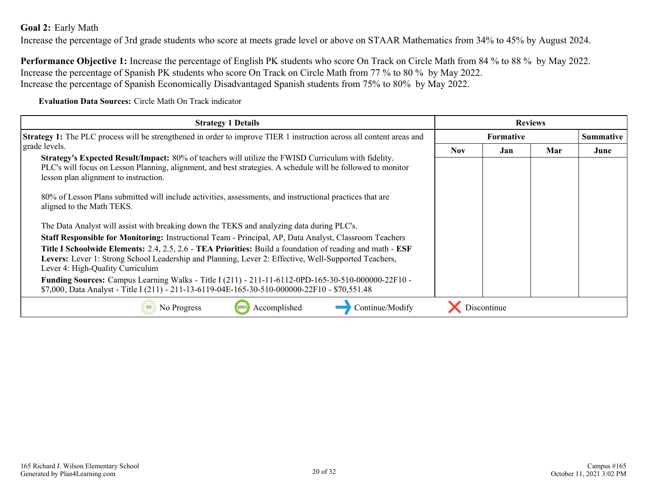### <span id="page-19-0"></span>**Goal 2:** Early Math

Increase the percentage of 3rd grade students who score at meets grade level or above on STAAR Mathematics from 34% to 45% by August 2024.

**Performance Objective 1:** Increase the percentage of English PK students who score On Track on Circle Math from 84 % to 88 % by May 2022. Increase the percentage of Spanish PK students who score On Track on Circle Math from 77 % to 80 % by May 2022. Increase the percentage of Spanish Economically Disadvantaged Spanish students from 75% to 80% by May 2022.

**Evaluation Data Sources:** Circle Math On Track indicator

| <b>Strategy 1 Details</b>                                                                                                                                                                                                                                   |                  |             | <b>Reviews</b> |                  |
|-------------------------------------------------------------------------------------------------------------------------------------------------------------------------------------------------------------------------------------------------------------|------------------|-------------|----------------|------------------|
| <b>Strategy 1:</b> The PLC process will be strengthened in order to improve TIER 1 instruction across all content areas and                                                                                                                                 | <b>Formative</b> |             |                | <b>Summative</b> |
| grade levels.                                                                                                                                                                                                                                               | <b>Nov</b>       | Jan         | Mar            | June             |
| Strategy's Expected Result/Impact: 80% of teachers will utilize the FWISD Curriculum with fidelity.<br>PLC's will focus on Lesson Planning, alignment, and best strategies. A schedule will be followed to monitor<br>lesson plan alignment to instruction. |                  |             |                |                  |
| 80% of Lesson Plans submitted will include activities, assessments, and instructional practices that are<br>aligned to the Math TEKS.                                                                                                                       |                  |             |                |                  |
| The Data Analyst will assist with breaking down the TEKS and analyzing data during PLC's.                                                                                                                                                                   |                  |             |                |                  |
| Staff Responsible for Monitoring: Instructional Team - Principal, AP, Data Analyst, Classroom Teachers                                                                                                                                                      |                  |             |                |                  |
| Title I Schoolwide Elements: 2.4, 2.5, 2.6 - TEA Priorities: Build a foundation of reading and math - ESF                                                                                                                                                   |                  |             |                |                  |
| Levers: Lever 1: Strong School Leadership and Planning, Lever 2: Effective, Well-Supported Teachers,<br>Lever 4: High-Quality Curriculum                                                                                                                    |                  |             |                |                  |
| Funding Sources: Campus Learning Walks - Title I (211) - 211-11-6112-0PD-165-30-510-000000-22F10 -                                                                                                                                                          |                  |             |                |                  |
| \$7,000, Data Analyst - Title I (211) - 211-13-6119-04E-165-30-510-000000-22F10 - \$70,551.48                                                                                                                                                               |                  |             |                |                  |
| Accomplished<br>Continue/Modify<br>No Progress                                                                                                                                                                                                              |                  | Discontinue |                |                  |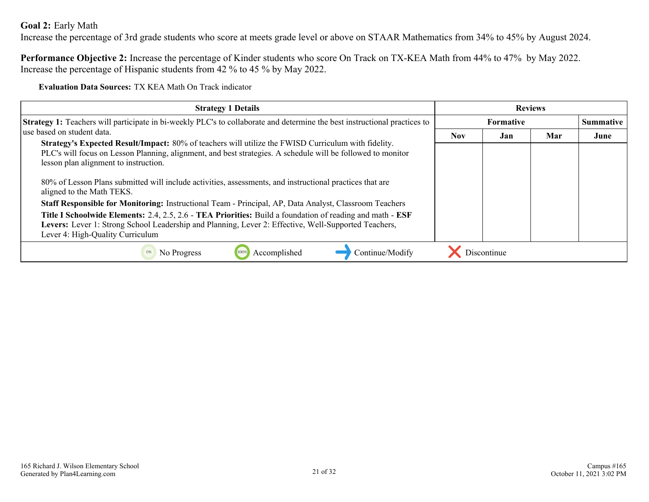### **Goal 2:** Early Math

Increase the percentage of 3rd grade students who score at meets grade level or above on STAAR Mathematics from 34% to 45% by August 2024.

**Performance Objective 2:** Increase the percentage of Kinder students who score On Track on TX-KEA Math from 44% to 47% by May 2022. Increase the percentage of Hispanic students from 42 % to 45 % by May 2022.

**Evaluation Data Sources:** TX KEA Math On Track indicator

| <b>Strategy 1 Details</b>                                                                                                                                                                                                                                          | <b>Reviews</b>           |             |  |                  |
|--------------------------------------------------------------------------------------------------------------------------------------------------------------------------------------------------------------------------------------------------------------------|--------------------------|-------------|--|------------------|
| Strategy 1: Teachers will participate in bi-weekly PLC's to collaborate and determine the best instructional practices to                                                                                                                                          | <b>Formative</b>         |             |  | <b>Summative</b> |
| use based on student data.                                                                                                                                                                                                                                         | <b>Nov</b><br>Mar<br>Jan |             |  | June             |
| <b>Strategy's Expected Result/Impact:</b> 80% of teachers will utilize the FWISD Curriculum with fidelity.<br>PLC's will focus on Lesson Planning, alignment, and best strategies. A schedule will be followed to monitor<br>lesson plan alignment to instruction. |                          |             |  |                  |
| 80% of Lesson Plans submitted will include activities, assessments, and instructional practices that are<br>aligned to the Math TEKS.                                                                                                                              |                          |             |  |                  |
| Staff Responsible for Monitoring: Instructional Team - Principal, AP, Data Analyst, Classroom Teachers                                                                                                                                                             |                          |             |  |                  |
| Title I Schoolwide Elements: 2.4, 2.5, 2.6 - TEA Priorities: Build a foundation of reading and math - ESF<br>Levers: Lever 1: Strong School Leadership and Planning, Lever 2: Effective, Well-Supported Teachers,<br>Lever 4: High-Quality Curriculum              |                          |             |  |                  |
| Accomplished<br>Continue/Modify<br>No Progress<br>0%                                                                                                                                                                                                               |                          | Discontinue |  |                  |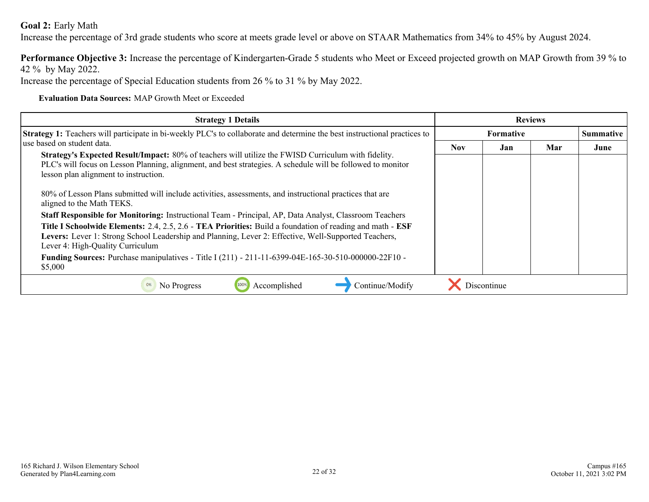### **Goal 2:** Early Math

Increase the percentage of 3rd grade students who score at meets grade level or above on STAAR Mathematics from 34% to 45% by August 2024.

**Performance Objective 3:** Increase the percentage of Kindergarten-Grade 5 students who Meet or Exceed projected growth on MAP Growth from 39 % to 42 % by May 2022.

Increase the percentage of Special Education students from 26 % to 31 % by May 2022.

**Evaluation Data Sources:** MAP Growth Meet or Exceeded

| <b>Strategy 1 Details</b>                                                                                                                                                                                                                                                                                                                                                                            | <b>Reviews</b>   |             |     |                  |
|------------------------------------------------------------------------------------------------------------------------------------------------------------------------------------------------------------------------------------------------------------------------------------------------------------------------------------------------------------------------------------------------------|------------------|-------------|-----|------------------|
| <b>Strategy 1:</b> Teachers will participate in bi-weekly PLC's to collaborate and determine the best instructional practices to                                                                                                                                                                                                                                                                     | <b>Formative</b> |             |     | <b>Summative</b> |
| luse based on student data.                                                                                                                                                                                                                                                                                                                                                                          | <b>Nov</b>       | Jan         | Mar | June             |
| Strategy's Expected Result/Impact: 80% of teachers will utilize the FWISD Curriculum with fidelity.<br>PLC's will focus on Lesson Planning, alignment, and best strategies. A schedule will be followed to monitor<br>lesson plan alignment to instruction.<br>80% of Lesson Plans submitted will include activities, assessments, and instructional practices that are<br>aligned to the Math TEKS. |                  |             |     |                  |
| Staff Responsible for Monitoring: Instructional Team - Principal, AP, Data Analyst, Classroom Teachers                                                                                                                                                                                                                                                                                               |                  |             |     |                  |
| Title I Schoolwide Elements: 2.4, 2.5, 2.6 - TEA Priorities: Build a foundation of reading and math - ESF<br>Levers: Lever 1: Strong School Leadership and Planning, Lever 2: Effective, Well-Supported Teachers,<br>Lever 4: High-Quality Curriculum                                                                                                                                                |                  |             |     |                  |
| Funding Sources: Purchase manipulatives - Title I (211) - 211-11-6399-04E-165-30-510-000000-22F10 -<br>\$5,000                                                                                                                                                                                                                                                                                       |                  |             |     |                  |
| Accomplished<br>Continue/Modify<br>No Progress<br>0%                                                                                                                                                                                                                                                                                                                                                 |                  | Discontinue |     |                  |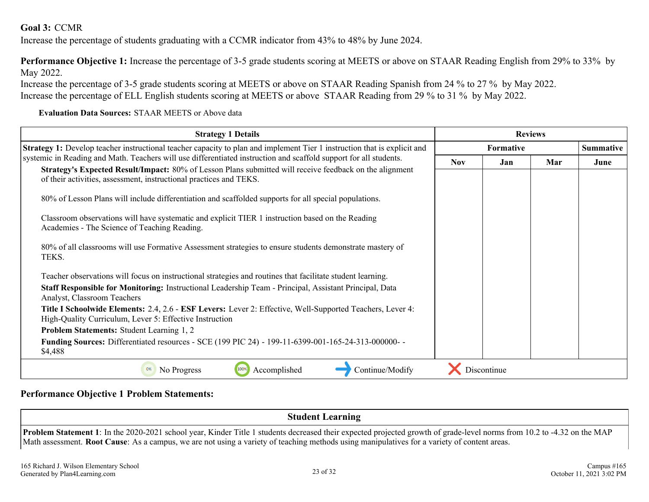### <span id="page-22-0"></span>**Goal 3:** CCMR

Increase the percentage of students graduating with a CCMR indicator from 43% to 48% by June 2024.

**Performance Objective 1:** Increase the percentage of 3-5 grade students scoring at MEETS or above on STAAR Reading English from 29% to 33% by May 2022.

Increase the percentage of 3-5 grade students scoring at MEETS or above on STAAR Reading Spanish from 24 % to 27 % by May 2022. Increase the percentage of ELL English students scoring at MEETS or above STAAR Reading from 29 % to 31 % by May 2022.

### **Evaluation Data Sources:** STAAR MEETS or Above data

| <b>Strategy 1 Details</b>                                                                                                                                                     | <b>Reviews</b>   |             |     |                  |
|-------------------------------------------------------------------------------------------------------------------------------------------------------------------------------|------------------|-------------|-----|------------------|
| <b>Strategy 1:</b> Develop teacher instructional teacher capacity to plan and implement Tier 1 instruction that is explicit and                                               | <b>Formative</b> |             |     | <b>Summative</b> |
| systemic in Reading and Math. Teachers will use differentiated instruction and scaffold support for all students.                                                             | <b>Nov</b>       | Jan         | Mar | June             |
| Strategy's Expected Result/Impact: 80% of Lesson Plans submitted will receive feedback on the alignment<br>of their activities, assessment, instructional practices and TEKS. |                  |             |     |                  |
| 80% of Lesson Plans will include differentiation and scaffolded supports for all special populations.                                                                         |                  |             |     |                  |
| Classroom observations will have systematic and explicit TIER 1 instruction based on the Reading<br>Academies - The Science of Teaching Reading.                              |                  |             |     |                  |
| 80% of all classrooms will use Formative Assessment strategies to ensure students demonstrate mastery of<br>TEKS.                                                             |                  |             |     |                  |
| Teacher observations will focus on instructional strategies and routines that facilitate student learning.                                                                    |                  |             |     |                  |
| Staff Responsible for Monitoring: Instructional Leadership Team - Principal, Assistant Principal, Data<br>Analyst, Classroom Teachers                                         |                  |             |     |                  |
| Title I Schoolwide Elements: 2.4, 2.6 - ESF Levers: Lever 2: Effective, Well-Supported Teachers, Lever 4:<br>High-Quality Curriculum, Lever 5: Effective Instruction          |                  |             |     |                  |
| <b>Problem Statements: Student Learning 1, 2</b>                                                                                                                              |                  |             |     |                  |
| <b>Funding Sources:</b> Differentiated resources - SCE (199 PIC 24) - 199-11-6399-001-165-24-313-000000-<br>\$4,488                                                           |                  |             |     |                  |
| Accomplished<br>Continue/Modify<br>No Progress<br>100%<br>0%                                                                                                                  |                  | Discontinue |     |                  |

### **Performance Objective 1 Problem Statements:**

**Student Learning**

**Problem Statement 1**: In the 2020-2021 school year, Kinder Title 1 students decreased their expected projected growth of grade-level norms from 10.2 to -4.32 on the MAP Math assessment. **Root Cause**: As a campus, we are not using a variety of teaching methods using manipulatives for a variety of content areas.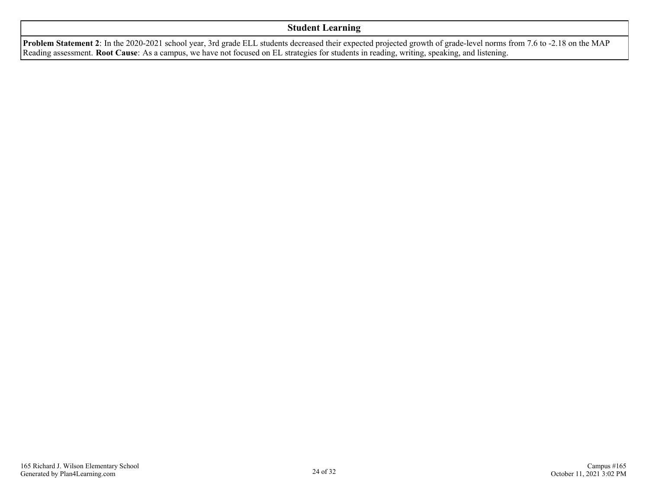### **Student Learning**

**Problem Statement 2**: In the 2020-2021 school year, 3rd grade ELL students decreased their expected projected growth of grade-level norms from 7.6 to -2.18 on the MAP Reading assessment. **Root Cause**: As a campus, we have not focused on EL strategies for students in reading, writing, speaking, and listening.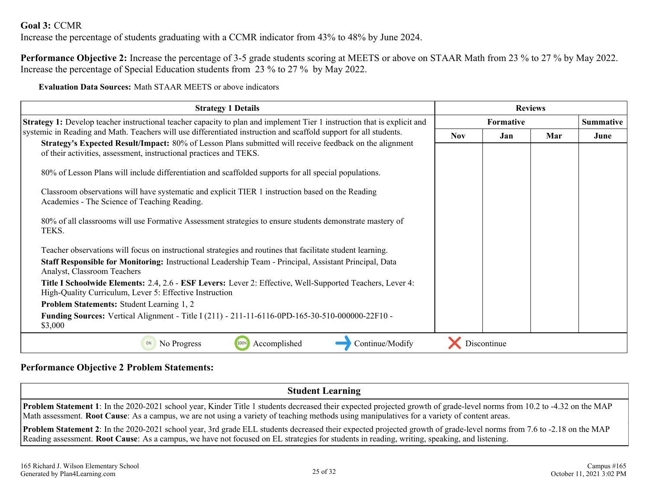### **Goal 3:** CCMR

Increase the percentage of students graduating with a CCMR indicator from 43% to 48% by June 2024.

**Performance Objective 2:** Increase the percentage of 3-5 grade students scoring at MEETS or above on STAAR Math from 23 % to 27 % by May 2022. Increase the percentage of Special Education students from 23 % to 27 % by May 2022.

**Evaluation Data Sources:** Math STAAR MEETS or above indicators

| <b>Strategy 1 Details</b>                                                                                                                                                                                                    | <b>Reviews</b>   |             |     |                  |
|------------------------------------------------------------------------------------------------------------------------------------------------------------------------------------------------------------------------------|------------------|-------------|-----|------------------|
| Strategy 1: Develop teacher instructional teacher capacity to plan and implement Tier 1 instruction that is explicit and                                                                                                     | <b>Formative</b> |             |     | <b>Summative</b> |
| systemic in Reading and Math. Teachers will use differentiated instruction and scaffold support for all students.<br>Strategy's Expected Result/Impact: 80% of Lesson Plans submitted will receive feedback on the alignment |                  | Jan         | Mar | June             |
| of their activities, assessment, instructional practices and TEKS.                                                                                                                                                           |                  |             |     |                  |
| 80% of Lesson Plans will include differentiation and scaffolded supports for all special populations.                                                                                                                        |                  |             |     |                  |
| Classroom observations will have systematic and explicit TIER 1 instruction based on the Reading<br>Academies - The Science of Teaching Reading.                                                                             |                  |             |     |                  |
| 80% of all classrooms will use Formative Assessment strategies to ensure students demonstrate mastery of<br>TEKS.                                                                                                            |                  |             |     |                  |
| Teacher observations will focus on instructional strategies and routines that facilitate student learning.                                                                                                                   |                  |             |     |                  |
| Staff Responsible for Monitoring: Instructional Leadership Team - Principal, Assistant Principal, Data<br>Analyst, Classroom Teachers                                                                                        |                  |             |     |                  |
| <b>Title I Schoolwide Elements: 2.4, 2.6 - ESF Levers:</b> Lever 2: Effective, Well-Supported Teachers, Lever 4:<br>High-Quality Curriculum, Lever 5: Effective Instruction                                                  |                  |             |     |                  |
| <b>Problem Statements: Student Learning 1, 2</b>                                                                                                                                                                             |                  |             |     |                  |
| <b>Funding Sources:</b> Vertical Alignment - Title I (211) - 211-11-6116-0PD-165-30-510-000000-22F10 -<br>\$3,000                                                                                                            |                  |             |     |                  |
| Accomplished<br>No Progress<br>100%<br>Continue/Modify<br>0%                                                                                                                                                                 |                  | Discontinue |     |                  |

### **Performance Objective 2 Problem Statements:**

### **Student Learning**

**Problem Statement 1**: In the 2020-2021 school year, Kinder Title 1 students decreased their expected projected growth of grade-level norms from 10.2 to -4.32 on the MAP Math assessment. **Root Cause**: As a campus, we are not using a variety of teaching methods using manipulatives for a variety of content areas.

**Problem Statement 2**: In the 2020-2021 school year, 3rd grade ELL students decreased their expected projected growth of grade-level norms from 7.6 to -2.18 on the MAP Reading assessment. **Root Cause**: As a campus, we have not focused on EL strategies for students in reading, writing, speaking, and listening.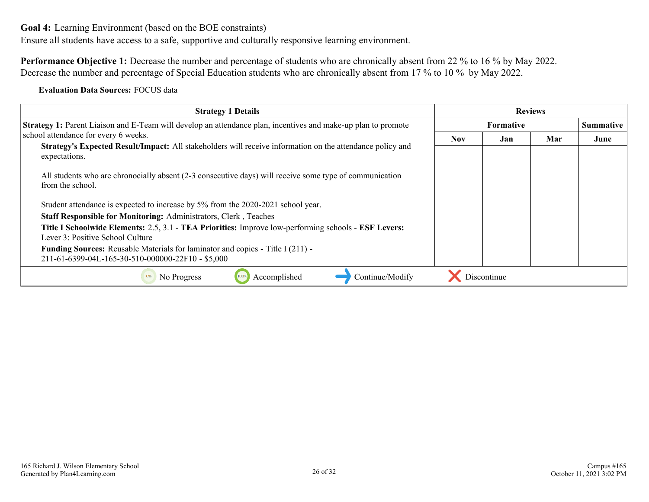<span id="page-25-0"></span>Ensure all students have access to a safe, supportive and culturally responsive learning environment.

**Performance Objective 1:** Decrease the number and percentage of students who are chronically absent from 22 % to 16 % by May 2022. Decrease the number and percentage of Special Education students who are chronically absent from 17 % to 10 % by May 2022.

**Evaluation Data Sources:** FOCUS data

| <b>Strategy 1 Details</b>                                                                                                                  |                  |             | <b>Reviews</b> |                  |
|--------------------------------------------------------------------------------------------------------------------------------------------|------------------|-------------|----------------|------------------|
| <b>Strategy 1:</b> Parent Liaison and E-Team will develop an attendance plan, incentives and make-up plan to promote                       | <b>Formative</b> |             |                | <b>Summative</b> |
| school attendance for every 6 weeks.                                                                                                       | <b>Nov</b>       | Jan         | Mar            | June             |
| Strategy's Expected Result/Impact: All stakeholders will receive information on the attendance policy and<br>expectations.                 |                  |             |                |                  |
| All students who are chronocially absent (2-3 consecutive days) will receive some type of communication<br>from the school.                |                  |             |                |                  |
| Student attendance is expected to increase by 5% from the 2020-2021 school year.                                                           |                  |             |                |                  |
| Staff Responsible for Monitoring: Administrators, Clerk, Teaches                                                                           |                  |             |                |                  |
| Title I Schoolwide Elements: 2.5, 3.1 - TEA Priorities: Improve low-performing schools - ESF Levers:<br>Lever 3: Positive School Culture   |                  |             |                |                  |
| <b>Funding Sources:</b> Reusable Materials for laminator and copies - Title I (211) -<br>211-61-6399-04L-165-30-510-000000-22F10 - \$5,000 |                  |             |                |                  |
| Accomplished<br>Continue/Modify<br>No Progress                                                                                             |                  | Discontinue |                |                  |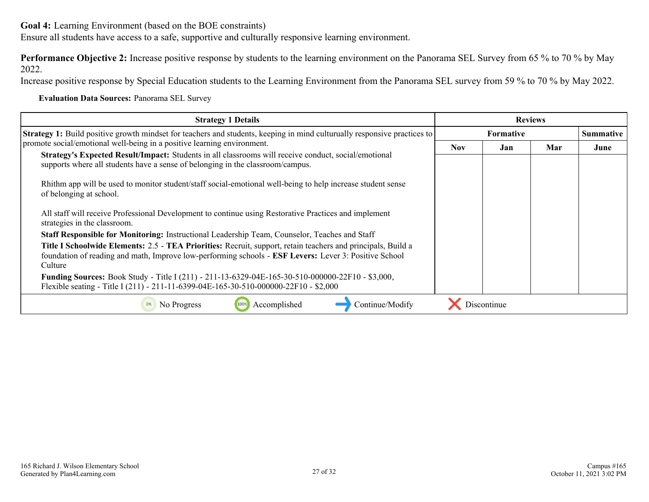Ensure all students have access to a safe, supportive and culturally responsive learning environment.

**Performance Objective 2:** Increase positive response by students to the learning environment on the Panorama SEL Survey from 65 % to 70 % by May 2022.

Increase positive response by Special Education students to the Learning Environment from the Panorama SEL survey from 59 % to 70 % by May 2022.

**Evaluation Data Sources:** Panorama SEL Survey

| <b>Strategy 1 Details</b>                                                                                                                                                                                             | <b>Reviews</b>   |             |     |                  |
|-----------------------------------------------------------------------------------------------------------------------------------------------------------------------------------------------------------------------|------------------|-------------|-----|------------------|
| <b>Strategy 1:</b> Build positive growth mindset for teachers and students, keeping in mind culturually responsive practices to                                                                                       | <b>Formative</b> |             |     | <b>Summative</b> |
| promote social/emotional well-being in a positive learning environment.                                                                                                                                               | <b>Nov</b>       | Jan         | Mar | June             |
| Strategy's Expected Result/Impact: Students in all classrooms will receive conduct, social/emotional<br>supports where all students have a sense of belonging in the classroom/campus.                                |                  |             |     |                  |
| Rhithm app will be used to monitor student/staff social-emotional well-being to help increase student sense<br>of belonging at school.                                                                                |                  |             |     |                  |
| All staff will receive Professional Development to continue using Restorative Practices and implement<br>strategies in the classroom.                                                                                 |                  |             |     |                  |
| Staff Responsible for Monitoring: Instructional Leadership Team, Counselor, Teaches and Staff                                                                                                                         |                  |             |     |                  |
| Title I Schoolwide Elements: 2.5 - TEA Priorities: Recruit, support, retain teachers and principals, Build a<br>foundation of reading and math, Improve low-performing schools - ESF Levers: Lever 3: Positive School |                  |             |     |                  |
| Culture                                                                                                                                                                                                               |                  |             |     |                  |
| Funding Sources: Book Study - Title I (211) - 211-13-6329-04E-165-30-510-000000-22F10 - \$3,000,<br>Flexible seating - Title I (211) - 211-11-6399-04E-165-30-510-000000-22F10 - \$2,000                              |                  |             |     |                  |
| Accomplished<br>No Progress<br>Continue/Modify                                                                                                                                                                        |                  | Discontinue |     |                  |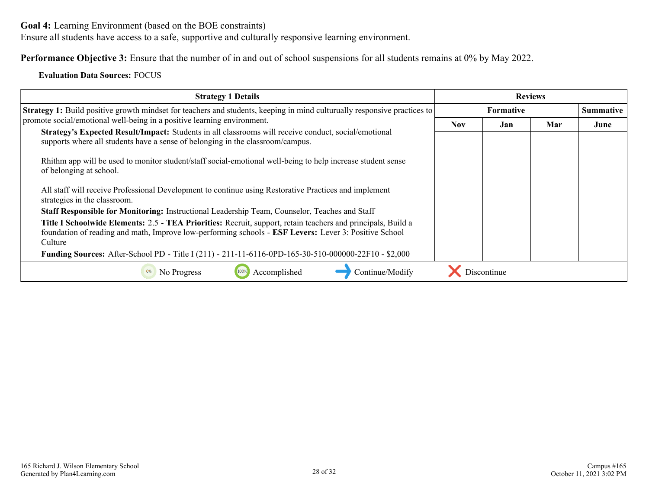Ensure all students have access to a safe, supportive and culturally responsive learning environment.

**Performance Objective 3:** Ensure that the number of in and out of school suspensions for all students remains at 0% by May 2022.

### **Evaluation Data Sources:** FOCUS

| <b>Strategy 1 Details</b>                                                                                                                                                                                                        |                  |             | <b>Reviews</b> |                  |
|----------------------------------------------------------------------------------------------------------------------------------------------------------------------------------------------------------------------------------|------------------|-------------|----------------|------------------|
| <b>Strategy 1:</b> Build positive growth mindset for teachers and students, keeping in mind culturually responsive practices to                                                                                                  | <b>Formative</b> |             |                | <b>Summative</b> |
| promote social/emotional well-being in a positive learning environment.                                                                                                                                                          | Nov.<br>Jan      |             |                | June             |
| Strategy's Expected Result/Impact: Students in all classrooms will receive conduct, social/emotional<br>supports where all students have a sense of belonging in the classroom/campus.                                           |                  |             |                |                  |
| Rhithm app will be used to monitor student/staff social-emotional well-being to help increase student sense<br>of belonging at school.                                                                                           |                  |             |                |                  |
| All staff will receive Professional Development to continue using Restorative Practices and implement<br>strategies in the classroom.                                                                                            |                  |             |                |                  |
| Staff Responsible for Monitoring: Instructional Leadership Team, Counselor, Teaches and Staff                                                                                                                                    |                  |             |                |                  |
| Title I Schoolwide Elements: 2.5 - TEA Priorities: Recruit, support, retain teachers and principals, Build a<br>foundation of reading and math, Improve low-performing schools - ESF Levers: Lever 3: Positive School<br>Culture |                  |             |                |                  |
| Funding Sources: After-School PD - Title I (211) - 211-11-6116-0PD-165-30-510-000000-22F10 - \$2,000                                                                                                                             |                  |             |                |                  |
| Accomplished<br>Continue/Modify<br>No Progress<br>0%                                                                                                                                                                             |                  | Discontinue |                |                  |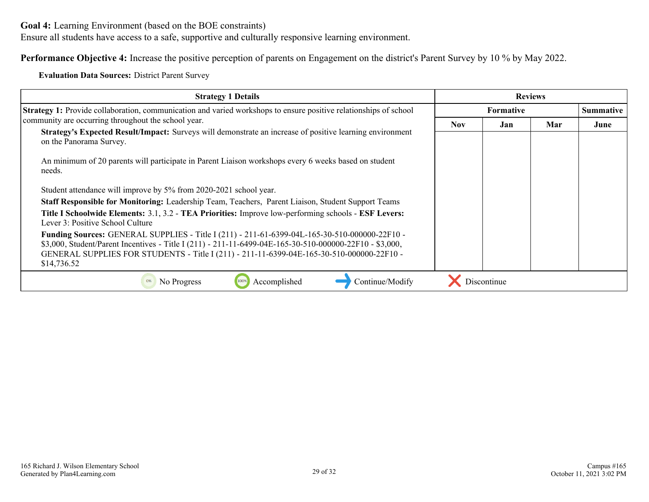Ensure all students have access to a safe, supportive and culturally responsive learning environment.

**Performance Objective 4:** Increase the positive perception of parents on Engagement on the district's Parent Survey by 10 % by May 2022.

**Evaluation Data Sources:** District Parent Survey

| <b>Strategy 1 Details</b>                                                                                                                                                                                                                                                                                            | <b>Reviews</b>   |             |     |                  |
|----------------------------------------------------------------------------------------------------------------------------------------------------------------------------------------------------------------------------------------------------------------------------------------------------------------------|------------------|-------------|-----|------------------|
| Strategy 1: Provide collaboration, communication and varied workshops to ensure positive relationships of school                                                                                                                                                                                                     | <b>Formative</b> |             |     | <b>Summative</b> |
| community are occurring throughout the school year.                                                                                                                                                                                                                                                                  | <b>Nov</b>       | Jan         | Mar | June             |
| Strategy's Expected Result/Impact: Surveys will demonstrate an increase of positive learning environment<br>on the Panorama Survey.                                                                                                                                                                                  |                  |             |     |                  |
| An minimum of 20 parents will participate in Parent Liaison workshops every 6 weeks based on student<br>needs.                                                                                                                                                                                                       |                  |             |     |                  |
| Student attendance will improve by 5% from 2020-2021 school year.                                                                                                                                                                                                                                                    |                  |             |     |                  |
| Staff Responsible for Monitoring: Leadership Team, Teachers, Parent Liaison, Student Support Teams                                                                                                                                                                                                                   |                  |             |     |                  |
| Title I Schoolwide Elements: 3.1, 3.2 - TEA Priorities: Improve low-performing schools - ESF Levers:<br>Lever 3: Positive School Culture                                                                                                                                                                             |                  |             |     |                  |
| Funding Sources: GENERAL SUPPLIES - Title I (211) - 211-61-6399-04L-165-30-510-000000-22F10 -<br>\$3,000, Student/Parent Incentives - Title I (211) - 211-11-6499-04E-165-30-510-000000-22F10 - \$3,000,<br>GENERAL SUPPLIES FOR STUDENTS - Title I (211) - 211-11-6399-04E-165-30-510-000000-22F10 -<br>\$14,736.52 |                  |             |     |                  |
| Accomplished<br>Continue/Modify<br>0%<br>No Progress                                                                                                                                                                                                                                                                 |                  | Discontinue |     |                  |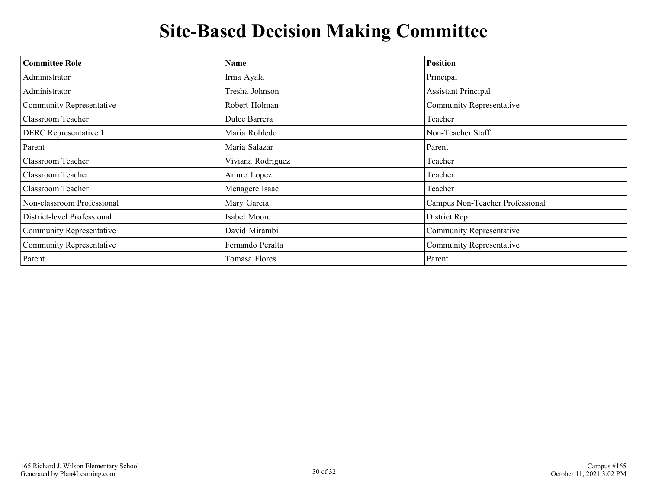## **Site-Based Decision Making Committee**

<span id="page-29-0"></span>

| <b>Committee Role</b>        | <b>Name</b>       | <b>Position</b>                 |
|------------------------------|-------------------|---------------------------------|
| Administrator                | Irma Ayala        | Principal                       |
| Administrator                | Tresha Johnson    | <b>Assistant Principal</b>      |
| Community Representative     | Robert Holman     | Community Representative        |
| Classroom Teacher            | Dulce Barrera     | Teacher                         |
| <b>DERC</b> Representative 1 | Maria Robledo     | Non-Teacher Staff               |
| Parent                       | Maria Salazar     | Parent                          |
| Classroom Teacher            | Viviana Rodriguez | Teacher                         |
| Classroom Teacher            | Arturo Lopez      | Teacher                         |
| Classroom Teacher            | Menagere Isaac    | Teacher                         |
| Non-classroom Professional   | Mary Garcia       | Campus Non-Teacher Professional |
| District-level Professional  | Isabel Moore      | District Rep                    |
| Community Representative     | David Mirambi     | <b>Community Representative</b> |
| Community Representative     | Fernando Peralta  | Community Representative        |
| Parent                       | Tomasa Flores     | Parent                          |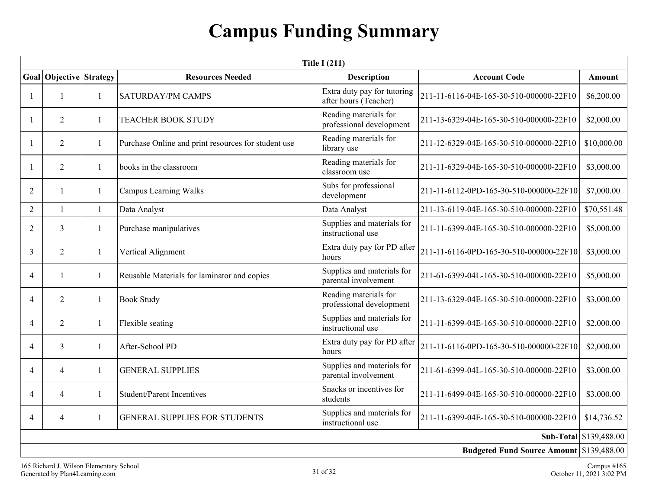## **Campus Funding Summary**

<span id="page-30-0"></span>

| <b>Title I (211)</b>     |                    |              |                                                     |                                                      |                                                 |                        |  |  |  |
|--------------------------|--------------------|--------------|-----------------------------------------------------|------------------------------------------------------|-------------------------------------------------|------------------------|--|--|--|
| Goal                     | Objective Strategy |              | <b>Resources Needed</b>                             | <b>Description</b>                                   | <b>Account Code</b>                             | Amount                 |  |  |  |
|                          |                    | 1            | <b>SATURDAY/PM CAMPS</b>                            | Extra duty pay for tutoring<br>after hours (Teacher) | 211-11-6116-04E-165-30-510-000000-22F10         | \$6,200.00             |  |  |  |
|                          | 2                  | 1            | <b>TEACHER BOOK STUDY</b>                           | Reading materials for<br>professional development    | 211-13-6329-04E-165-30-510-000000-22F10         | \$2,000.00             |  |  |  |
|                          | $\overline{2}$     | 1            | Purchase Online and print resources for student use | Reading materials for<br>library use                 | 211-12-6329-04E-165-30-510-000000-22F10         | \$10,000.00            |  |  |  |
| $\mathbf{1}$             | $\overline{2}$     | 1            | books in the classroom                              | Reading materials for<br>classroom use               | 211-11-6329-04E-165-30-510-000000-22F10         | \$3,000.00             |  |  |  |
| $\overline{2}$           | $\mathbf{1}$       | 1            | <b>Campus Learning Walks</b>                        | Subs for professional<br>development                 | 211-11-6112-0PD-165-30-510-000000-22F10         | \$7,000.00             |  |  |  |
| $\overline{2}$           | $\mathbf{1}$       | $\mathbf{1}$ | Data Analyst                                        | Data Analyst                                         | 211-13-6119-04E-165-30-510-000000-22F10         | \$70,551.48            |  |  |  |
| 2                        | $\mathfrak{Z}$     | 1            | Purchase manipulatives                              | Supplies and materials for<br>instructional use      | 211-11-6399-04E-165-30-510-000000-22F10         | \$5,000.00             |  |  |  |
| 3                        | 2                  | 1            | Vertical Alignment                                  | Extra duty pay for PD after<br>hours                 | 211-11-6116-0PD-165-30-510-000000-22F10         | \$3,000.00             |  |  |  |
| $\overline{\mathcal{A}}$ | $\mathbf{1}$       | 1            | Reusable Materials for laminator and copies         | Supplies and materials for<br>parental involvement   | 211-61-6399-04L-165-30-510-000000-22F10         | \$5,000.00             |  |  |  |
| $\overline{4}$           | $\overline{2}$     | 1            | <b>Book Study</b>                                   | Reading materials for<br>professional development    | 211-13-6329-04E-165-30-510-000000-22F10         | \$3,000.00             |  |  |  |
| $\overline{4}$           | $\overline{2}$     | 1            | Flexible seating                                    | Supplies and materials for<br>instructional use      | 211-11-6399-04E-165-30-510-000000-22F10         | \$2,000.00             |  |  |  |
| $\overline{4}$           | $\overline{3}$     | 1            | After-School PD                                     | Extra duty pay for PD after<br>hours                 | 211-11-6116-0PD-165-30-510-000000-22F10         | \$2,000.00             |  |  |  |
| $\overline{4}$           | $\overline{4}$     | 1            | <b>GENERAL SUPPLIES</b>                             | Supplies and materials for<br>parental involvement   | 211-61-6399-04L-165-30-510-000000-22F10         | \$3,000.00             |  |  |  |
| $\overline{4}$           | $\overline{4}$     | 1            | <b>Student/Parent Incentives</b>                    | Snacks or incentives for<br>students                 | 211-11-6499-04E-165-30-510-000000-22F10         | \$3,000.00             |  |  |  |
| $\overline{4}$           | $\overline{4}$     | 1            | <b>GENERAL SUPPLIES FOR STUDENTS</b>                | Supplies and materials for<br>instructional use      | 211-11-6399-04E-165-30-510-000000-22F10         | \$14,736.52            |  |  |  |
|                          |                    |              |                                                     |                                                      |                                                 | Sub-Total \$139,488.00 |  |  |  |
|                          |                    |              |                                                     |                                                      | <b>Budgeted Fund Source Amount \$139,488.00</b> |                        |  |  |  |